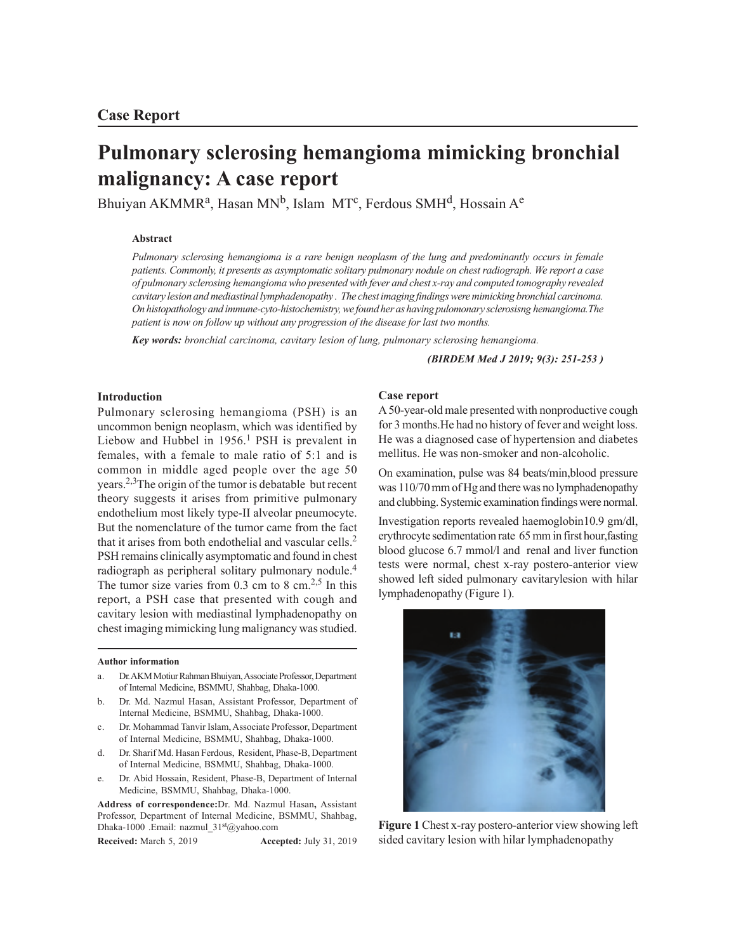# **Pulmonary sclerosing hemangioma mimicking bronchial malignancy: A case report**

Bhuiyan AKMMR<sup>a</sup>, Hasan MN<sup>b</sup>, Islam MT<sup>c</sup>, Ferdous SMH<sup>d</sup>, Hossain A<sup>e</sup>

# **Abstract**

*Pulmonary sclerosing hemangioma is a rare benign neoplasm of the lung and predominantly occurs in female patients. Commonly, it presents as asymptomatic solitary pulmonary nodule on chest radiograph. We report a case of pulmonary sclerosing hemangioma who presented with fever and chest x-ray and computed tomography revealed cavitary lesion and mediastinal lymphadenopathy . The chest imaging findings were mimicking bronchial carcinoma. On histopathology and immune-cyto-histochemistry, we found her as having pulomonary sclerosisng hemangioma.The patient is now on follow up without any progression of the disease for last two months.*

*Key words: bronchial carcinoma, cavitary lesion of lung, pulmonary sclerosing hemangioma.*

*(BIRDEM Med J 2019; 9(3): 251-253 )*

## **Introduction**

Pulmonary sclerosing hemangioma (PSH) is an uncommon benign neoplasm, which was identified by Liebow and Hubbel in 1956.<sup>1</sup> PSH is prevalent in females, with a female to male ratio of 5:1 and is common in middle aged people over the age 50 years.2,3The origin of the tumor is debatable but recent theory suggests it arises from primitive pulmonary endothelium most likely type-II alveolar pneumocyte. But the nomenclature of the tumor came from the fact that it arises from both endothelial and vascular cells.<sup>2</sup> PSH remains clinically asymptomatic and found in chest radiograph as peripheral solitary pulmonary nodule.<sup>4</sup> The tumor size varies from  $0.3$  cm to 8 cm.<sup>2,5</sup> In this report, a PSH case that presented with cough and cavitary lesion with mediastinal lymphadenopathy on chest imaging mimicking lung malignancy was studied.

#### **Author information**

- a. Dr. AKM Motiur Rahman Bhuiyan, Associate Professor, Department of Internal Medicine, BSMMU, Shahbag, Dhaka-1000.
- b. Dr. Md. Nazmul Hasan, Assistant Professor, Department of Internal Medicine, BSMMU, Shahbag, Dhaka-1000.
- c. Dr. Mohammad Tanvir Islam, Associate Professor, Department of Internal Medicine, BSMMU, Shahbag, Dhaka-1000.
- d. Dr. Sharif Md. Hasan Ferdous, Resident, Phase-B, Department of Internal Medicine, BSMMU, Shahbag, Dhaka-1000.
- e. Dr. Abid Hossain, Resident, Phase-B, Department of Internal Medicine, BSMMU, Shahbag, Dhaka-1000.

**Address of correspondence:**Dr. Md. Nazmul Hasan**,** Assistant Professor, Department of Internal Medicine, BSMMU, Shahbag, Dhaka-1000 .Email: nazmul 31st@yahoo.com

**Received:** March 5, 2019 **Accepted:** July 31, 2019

## **Case report**

A 50-year-old male presented with nonproductive cough for 3 months.He had no history of fever and weight loss. He was a diagnosed case of hypertension and diabetes mellitus. He was non-smoker and non-alcoholic.

On examination, pulse was 84 beats/min,blood pressure was 110/70 mm of Hg and there was no lymphadenopathy and clubbing. Systemic examination findings were normal.

Investigation reports revealed haemoglobin10.9 gm/dl, erythrocyte sedimentation rate 65 mm in first hour,fasting blood glucose 6.7 mmol/l and renal and liver function tests were normal, chest x-ray postero-anterior view showed left sided pulmonary cavitarylesion with hilar lymphadenopathy (Figure 1).



**Figure 1** Chest x-ray postero-anterior view showing left sided cavitary lesion with hilar lymphadenopathy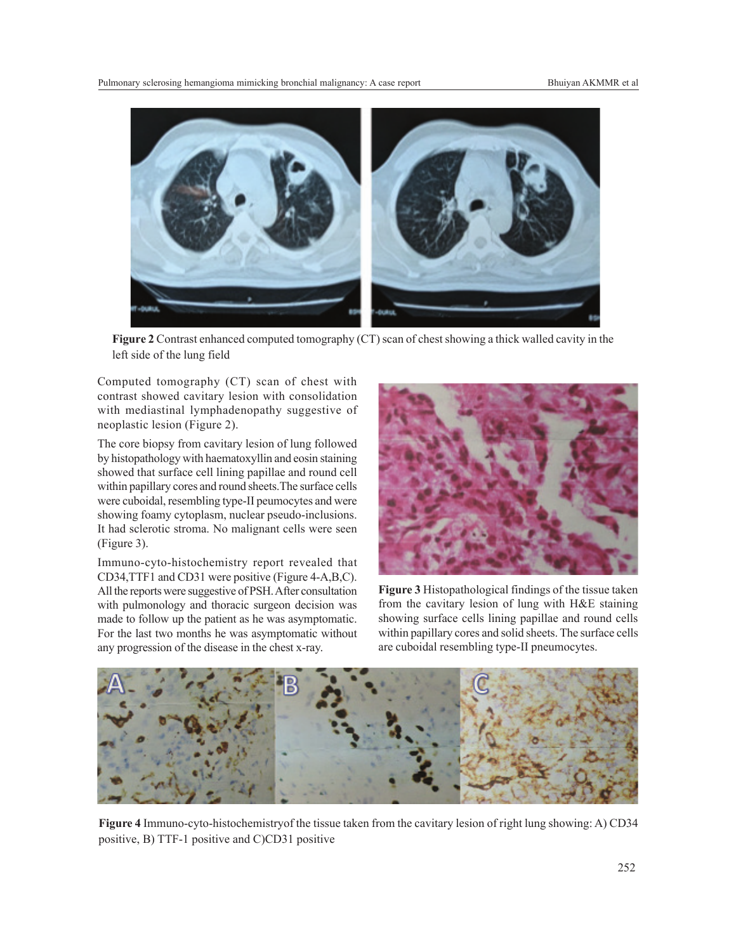

**Figure 2** Contrast enhanced computed tomography (CT) scan of chest showing a thick walled cavity in the left side of the lung field

Computed tomography (CT) scan of chest with contrast showed cavitary lesion with consolidation with mediastinal lymphadenopathy suggestive of neoplastic lesion (Figure 2).

The core biopsy from cavitary lesion of lung followed by histopathology with haematoxyllin and eosin staining showed that surface cell lining papillae and round cell within papillary cores and round sheets.The surface cells were cuboidal, resembling type-II peumocytes and were showing foamy cytoplasm, nuclear pseudo-inclusions. It had sclerotic stroma. No malignant cells were seen (Figure 3).

Immuno-cyto-histochemistry report revealed that CD34,TTF1 and CD31 were positive (Figure 4-A,B,C). All the reports were suggestive of PSH. After consultation with pulmonology and thoracic surgeon decision was made to follow up the patient as he was asymptomatic. For the last two months he was asymptomatic without any progression of the disease in the chest x-ray.



**Figure 3** Histopathological findings of the tissue taken from the cavitary lesion of lung with H&E staining showing surface cells lining papillae and round cells within papillary cores and solid sheets. The surface cells are cuboidal resembling type-II pneumocytes.



**Figure 4** Immuno-cyto-histochemistryof the tissue taken from the cavitary lesion of right lung showing: A) CD34 positive, B) TTF-1 positive and C)CD31 positive